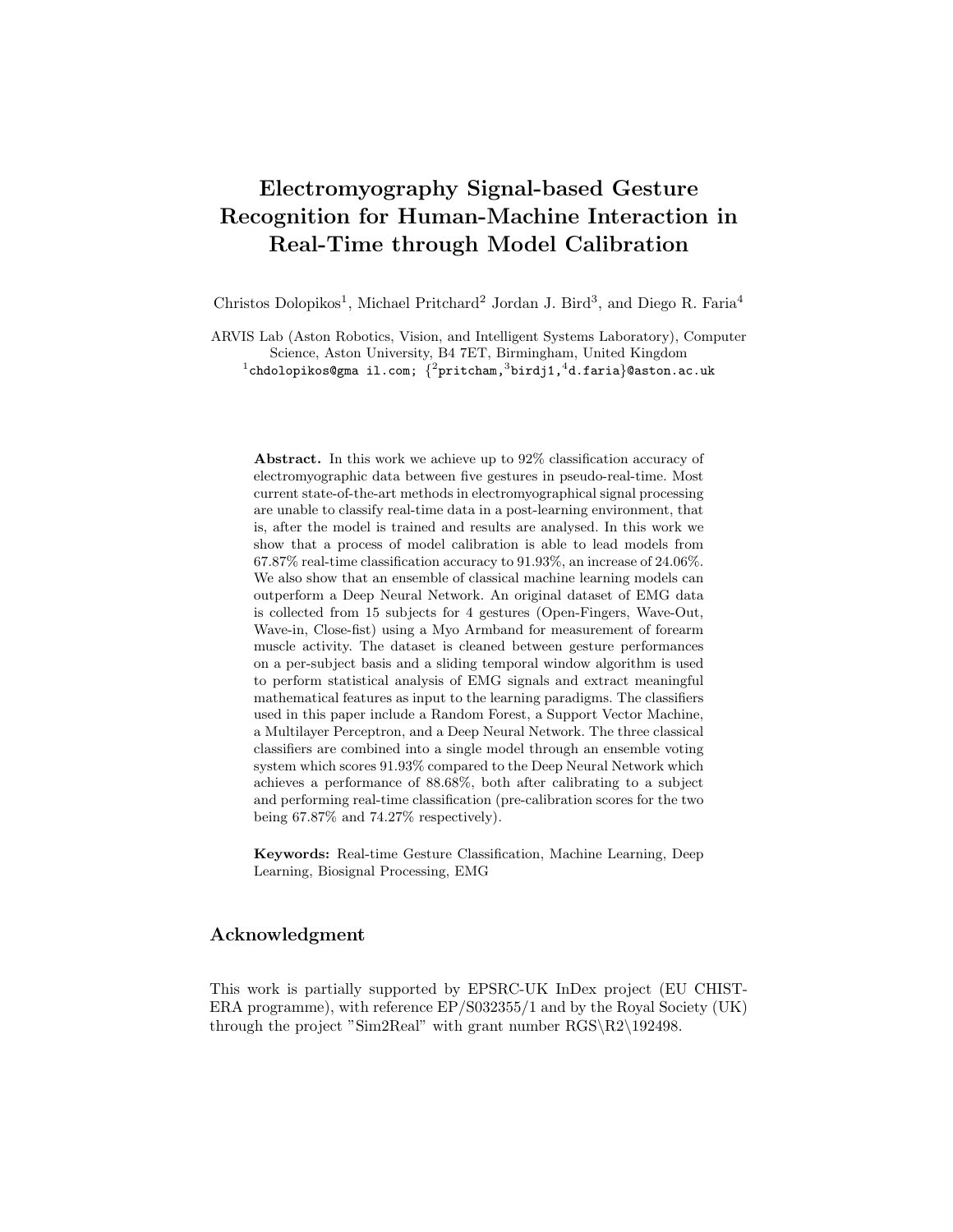# Electromyography Signal-based Gesture Recognition for Human-Machine Interaction in Real-Time through Model Calibration

Christos Dolopikos<sup>1</sup>, Michael Pritchard<sup>2</sup> Jordan J. Bird<sup>3</sup>, and Diego R. Faria<sup>4</sup>

ARVIS Lab (Aston Robotics, Vision, and Intelligent Systems Laboratory), Computer Science, Aston University, B4 7ET, Birmingham, United Kingdom  $^1$ chdolopikos@gma il.com;  $\{^2$ pritcham, $^3$ birdj1, $^4$ d.faria}@aston.ac.uk

Abstract. In this work we achieve up to 92% classification accuracy of electromyographic data between five gestures in pseudo-real-time. Most current state-of-the-art methods in electromyographical signal processing are unable to classify real-time data in a post-learning environment, that is, after the model is trained and results are analysed. In this work we show that a process of model calibration is able to lead models from 67.87% real-time classification accuracy to 91.93%, an increase of 24.06%. We also show that an ensemble of classical machine learning models can outperform a Deep Neural Network. An original dataset of EMG data is collected from 15 subjects for 4 gestures (Open-Fingers, Wave-Out, Wave-in, Close-fist) using a Myo Armband for measurement of forearm muscle activity. The dataset is cleaned between gesture performances on a per-subject basis and a sliding temporal window algorithm is used to perform statistical analysis of EMG signals and extract meaningful mathematical features as input to the learning paradigms. The classifiers used in this paper include a Random Forest, a Support Vector Machine, a Multilayer Perceptron, and a Deep Neural Network. The three classical classifiers are combined into a single model through an ensemble voting system which scores 91.93% compared to the Deep Neural Network which achieves a performance of 88.68%, both after calibrating to a subject and performing real-time classification (pre-calibration scores for the two being 67.87% and 74.27% respectively).

Keywords: Real-time Gesture Classification, Machine Learning, Deep Learning, Biosignal Processing, EMG

### Acknowledgment

This work is partially supported by EPSRC-UK InDex project (EU CHIST-ERA programme), with reference EP/S032355/1 and by the Royal Society (UK) through the project "Sim2Real" with grant number  $RGS\R2\192498$ .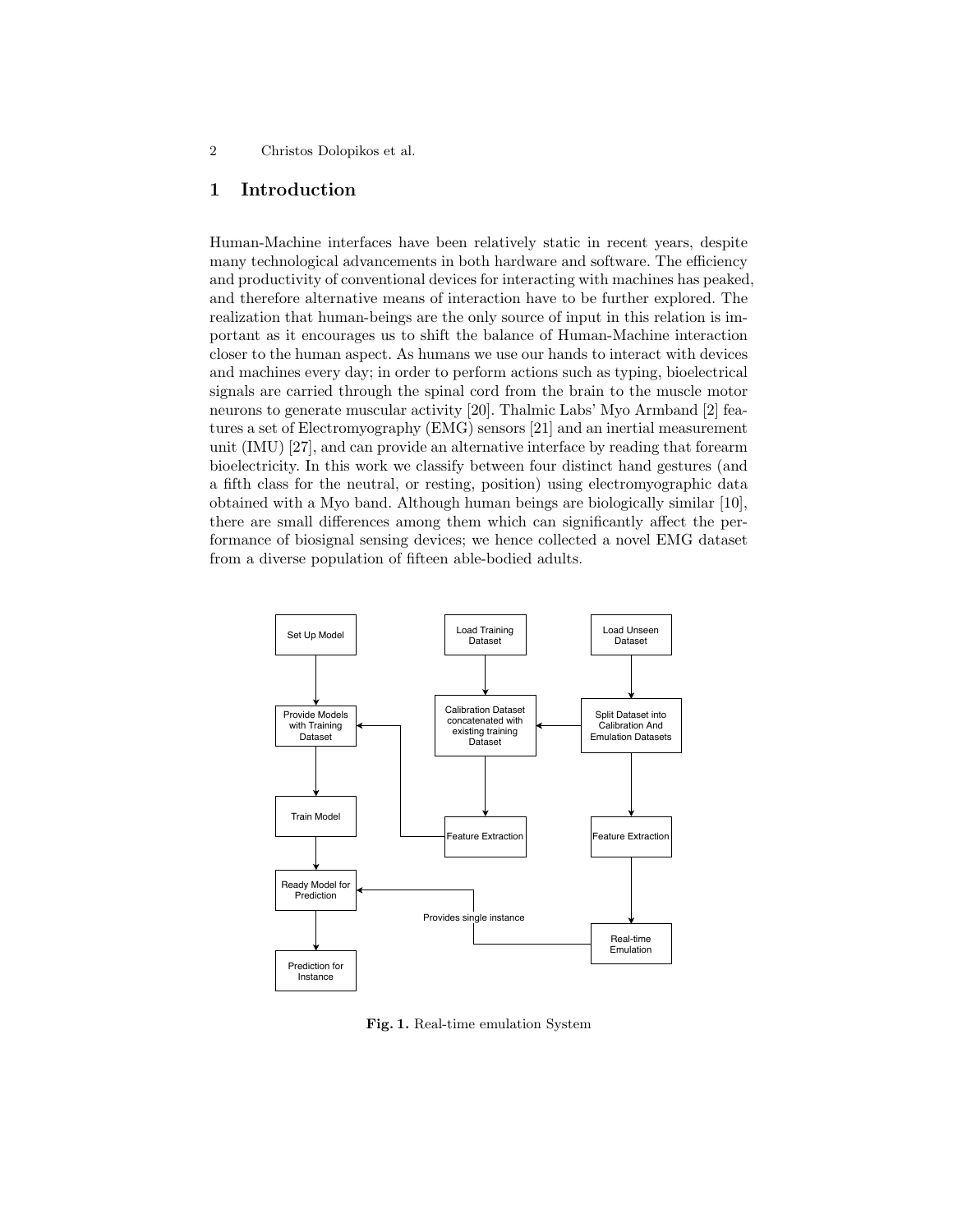# 1 Introduction

Human-Machine interfaces have been relatively static in recent years, despite many technological advancements in both hardware and software. The efficiency and productivity of conventional devices for interacting with machines has peaked, and therefore alternative means of interaction have to be further explored. The realization that human-beings are the only source of input in this relation is important as it encourages us to shift the balance of Human-Machine interaction closer to the human aspect. As humans we use our hands to interact with devices and machines every day; in order to perform actions such as typing, bioelectrical signals are carried through the spinal cord from the brain to the muscle motor neurons to generate muscular activity [20]. Thalmic Labs' Myo Armband [2] features a set of Electromyography (EMG) sensors [21] and an inertial measurement unit (IMU) [27], and can provide an alternative interface by reading that forearm bioelectricity. In this work we classify between four distinct hand gestures (and a fifth class for the neutral, or resting, position) using electromyographic data obtained with a Myo band. Although human beings are biologically similar [10], there are small differences among them which can significantly affect the performance of biosignal sensing devices; we hence collected a novel EMG dataset from a diverse population of fifteen able-bodied adults.



Fig. 1. Real-time emulation System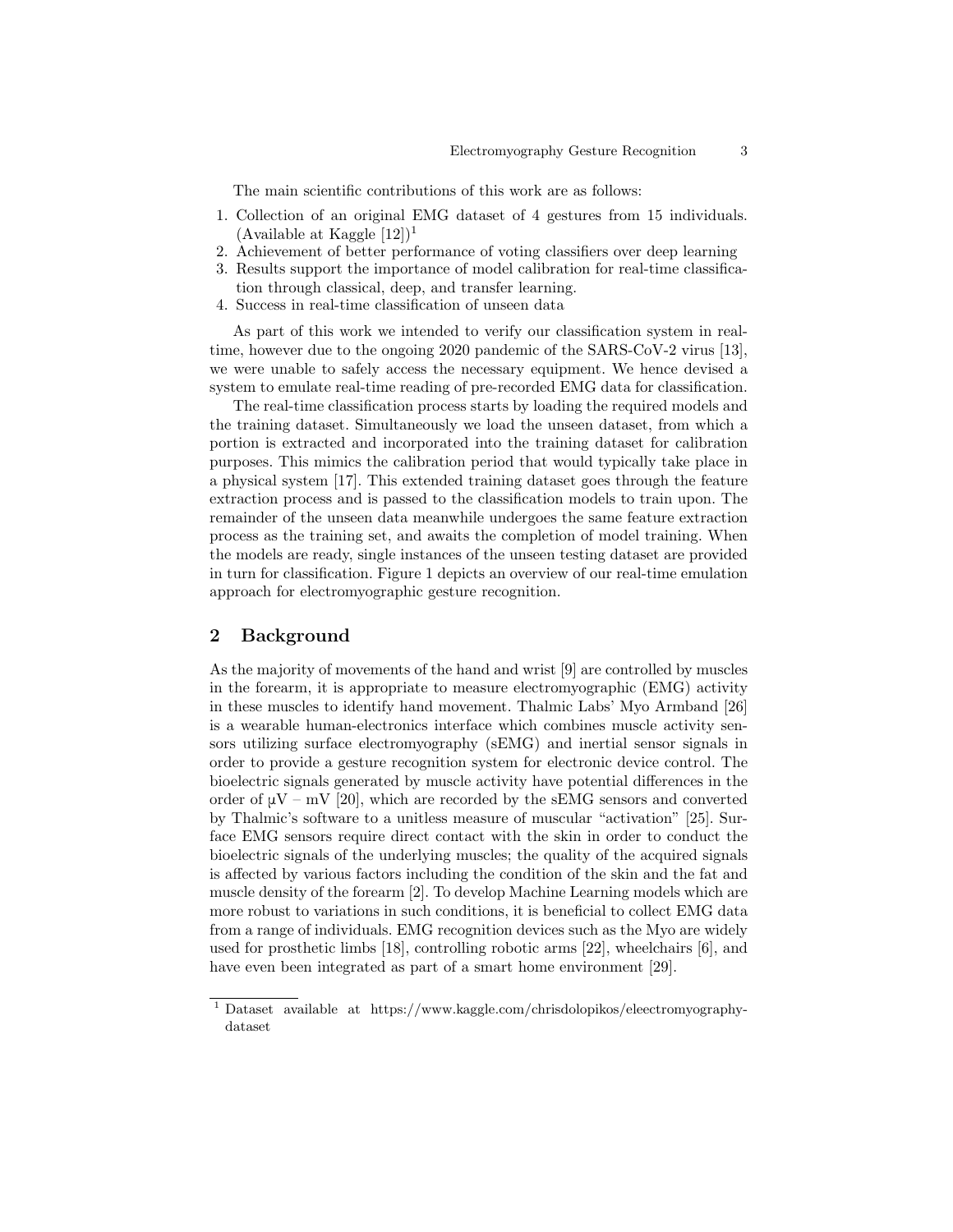The main scientific contributions of this work are as follows:

- 1. Collection of an original EMG dataset of 4 gestures from 15 individuals. (Available at Kaggle  $[12]$ )<sup>1</sup>
- 2. Achievement of better performance of voting classifiers over deep learning
- 3. Results support the importance of model calibration for real-time classification through classical, deep, and transfer learning.
- 4. Success in real-time classification of unseen data

As part of this work we intended to verify our classification system in realtime, however due to the ongoing 2020 pandemic of the SARS-CoV-2 virus [13], we were unable to safely access the necessary equipment. We hence devised a system to emulate real-time reading of pre-recorded EMG data for classification.

The real-time classification process starts by loading the required models and the training dataset. Simultaneously we load the unseen dataset, from which a portion is extracted and incorporated into the training dataset for calibration purposes. This mimics the calibration period that would typically take place in a physical system [17]. This extended training dataset goes through the feature extraction process and is passed to the classification models to train upon. The remainder of the unseen data meanwhile undergoes the same feature extraction process as the training set, and awaits the completion of model training. When the models are ready, single instances of the unseen testing dataset are provided in turn for classification. Figure 1 depicts an overview of our real-time emulation approach for electromyographic gesture recognition.

## 2 Background

As the majority of movements of the hand and wrist [9] are controlled by muscles in the forearm, it is appropriate to measure electromyographic (EMG) activity in these muscles to identify hand movement. Thalmic Labs' Myo Armband [26] is a wearable human-electronics interface which combines muscle activity sensors utilizing surface electromyography (sEMG) and inertial sensor signals in order to provide a gesture recognition system for electronic device control. The bioelectric signals generated by muscle activity have potential differences in the order of  $\mu V - mV$  [20], which are recorded by the sEMG sensors and converted by Thalmic's software to a unitless measure of muscular "activation" [25]. Surface EMG sensors require direct contact with the skin in order to conduct the bioelectric signals of the underlying muscles; the quality of the acquired signals is affected by various factors including the condition of the skin and the fat and muscle density of the forearm [2]. To develop Machine Learning models which are more robust to variations in such conditions, it is beneficial to collect EMG data from a range of individuals. EMG recognition devices such as the Myo are widely used for prosthetic limbs [18], controlling robotic arms [22], wheelchairs [6], and have even been integrated as part of a smart home environment [29].

 $^{\rm 1}$  Dataset available at https://www.kaggle.com/chrisdolopikos/eleectromyographydataset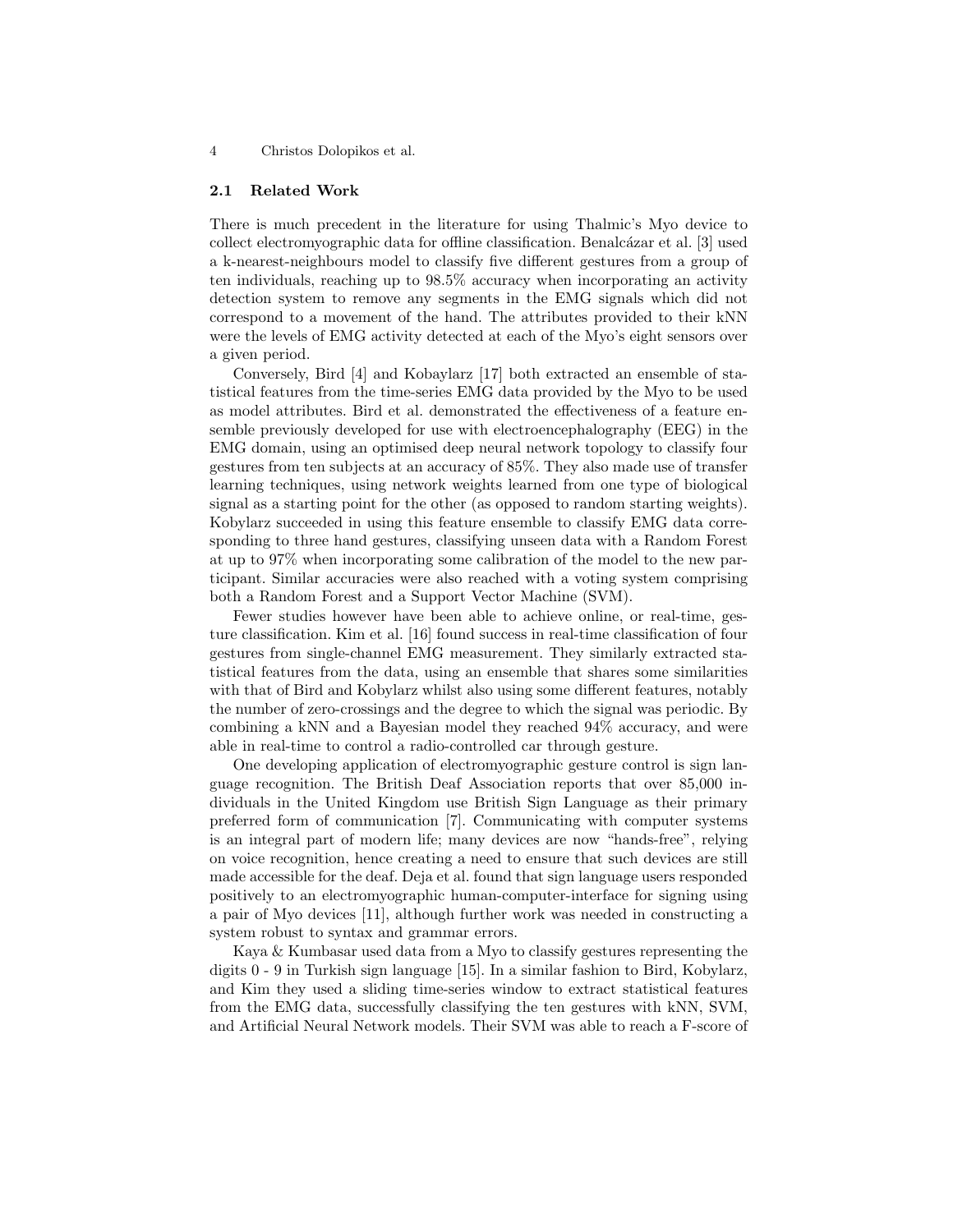#### 2.1 Related Work

There is much precedent in the literature for using Thalmic's Myo device to collect electromyographic data for offline classification. Benalcázar et al. [3] used a k-nearest-neighbours model to classify five different gestures from a group of ten individuals, reaching up to 98.5% accuracy when incorporating an activity detection system to remove any segments in the EMG signals which did not correspond to a movement of the hand. The attributes provided to their kNN were the levels of EMG activity detected at each of the Myo's eight sensors over a given period.

Conversely, Bird [4] and Kobaylarz [17] both extracted an ensemble of statistical features from the time-series EMG data provided by the Myo to be used as model attributes. Bird et al. demonstrated the effectiveness of a feature ensemble previously developed for use with electroencephalography (EEG) in the EMG domain, using an optimised deep neural network topology to classify four gestures from ten subjects at an accuracy of 85%. They also made use of transfer learning techniques, using network weights learned from one type of biological signal as a starting point for the other (as opposed to random starting weights). Kobylarz succeeded in using this feature ensemble to classify EMG data corresponding to three hand gestures, classifying unseen data with a Random Forest at up to 97% when incorporating some calibration of the model to the new participant. Similar accuracies were also reached with a voting system comprising both a Random Forest and a Support Vector Machine (SVM).

Fewer studies however have been able to achieve online, or real-time, gesture classification. Kim et al. [16] found success in real-time classification of four gestures from single-channel EMG measurement. They similarly extracted statistical features from the data, using an ensemble that shares some similarities with that of Bird and Kobylarz whilst also using some different features, notably the number of zero-crossings and the degree to which the signal was periodic. By combining a kNN and a Bayesian model they reached 94% accuracy, and were able in real-time to control a radio-controlled car through gesture.

One developing application of electromyographic gesture control is sign language recognition. The British Deaf Association reports that over 85,000 individuals in the United Kingdom use British Sign Language as their primary preferred form of communication [7]. Communicating with computer systems is an integral part of modern life; many devices are now "hands-free", relying on voice recognition, hence creating a need to ensure that such devices are still made accessible for the deaf. Deja et al. found that sign language users responded positively to an electromyographic human-computer-interface for signing using a pair of Myo devices [11], although further work was needed in constructing a system robust to syntax and grammar errors.

Kaya & Kumbasar used data from a Myo to classify gestures representing the digits 0 - 9 in Turkish sign language [15]. In a similar fashion to Bird, Kobylarz, and Kim they used a sliding time-series window to extract statistical features from the EMG data, successfully classifying the ten gestures with kNN, SVM, and Artificial Neural Network models. Their SVM was able to reach a F-score of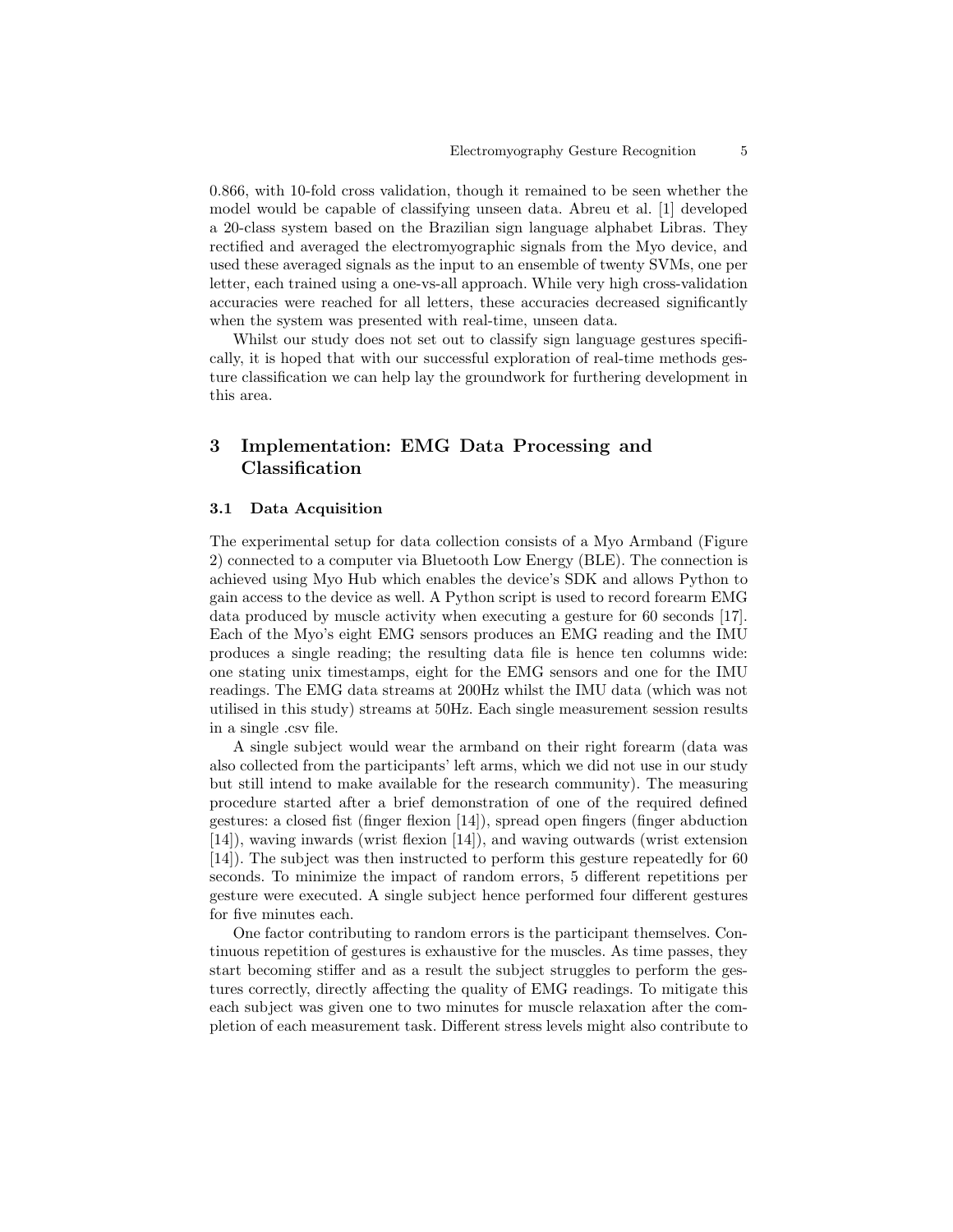0.866, with 10-fold cross validation, though it remained to be seen whether the model would be capable of classifying unseen data. Abreu et al. [1] developed a 20-class system based on the Brazilian sign language alphabet Libras. They rectified and averaged the electromyographic signals from the Myo device, and used these averaged signals as the input to an ensemble of twenty SVMs, one per letter, each trained using a one-vs-all approach. While very high cross-validation accuracies were reached for all letters, these accuracies decreased significantly when the system was presented with real-time, unseen data.

Whilst our study does not set out to classify sign language gestures specifically, it is hoped that with our successful exploration of real-time methods gesture classification we can help lay the groundwork for furthering development in this area.

# 3 Implementation: EMG Data Processing and Classification

#### 3.1 Data Acquisition

The experimental setup for data collection consists of a Myo Armband (Figure 2) connected to a computer via Bluetooth Low Energy (BLE). The connection is achieved using Myo Hub which enables the device's SDK and allows Python to gain access to the device as well. A Python script is used to record forearm EMG data produced by muscle activity when executing a gesture for 60 seconds [17]. Each of the Myo's eight EMG sensors produces an EMG reading and the IMU produces a single reading; the resulting data file is hence ten columns wide: one stating unix timestamps, eight for the EMG sensors and one for the IMU readings. The EMG data streams at 200Hz whilst the IMU data (which was not utilised in this study) streams at 50Hz. Each single measurement session results in a single .csv file.

A single subject would wear the armband on their right forearm (data was also collected from the participants' left arms, which we did not use in our study but still intend to make available for the research community). The measuring procedure started after a brief demonstration of one of the required defined gestures: a closed fist (finger flexion [14]), spread open fingers (finger abduction [14]), waving inwards (wrist flexion [14]), and waving outwards (wrist extension [14]). The subject was then instructed to perform this gesture repeatedly for 60 seconds. To minimize the impact of random errors, 5 different repetitions per gesture were executed. A single subject hence performed four different gestures for five minutes each.

One factor contributing to random errors is the participant themselves. Continuous repetition of gestures is exhaustive for the muscles. As time passes, they start becoming stiffer and as a result the subject struggles to perform the gestures correctly, directly affecting the quality of EMG readings. To mitigate this each subject was given one to two minutes for muscle relaxation after the completion of each measurement task. Different stress levels might also contribute to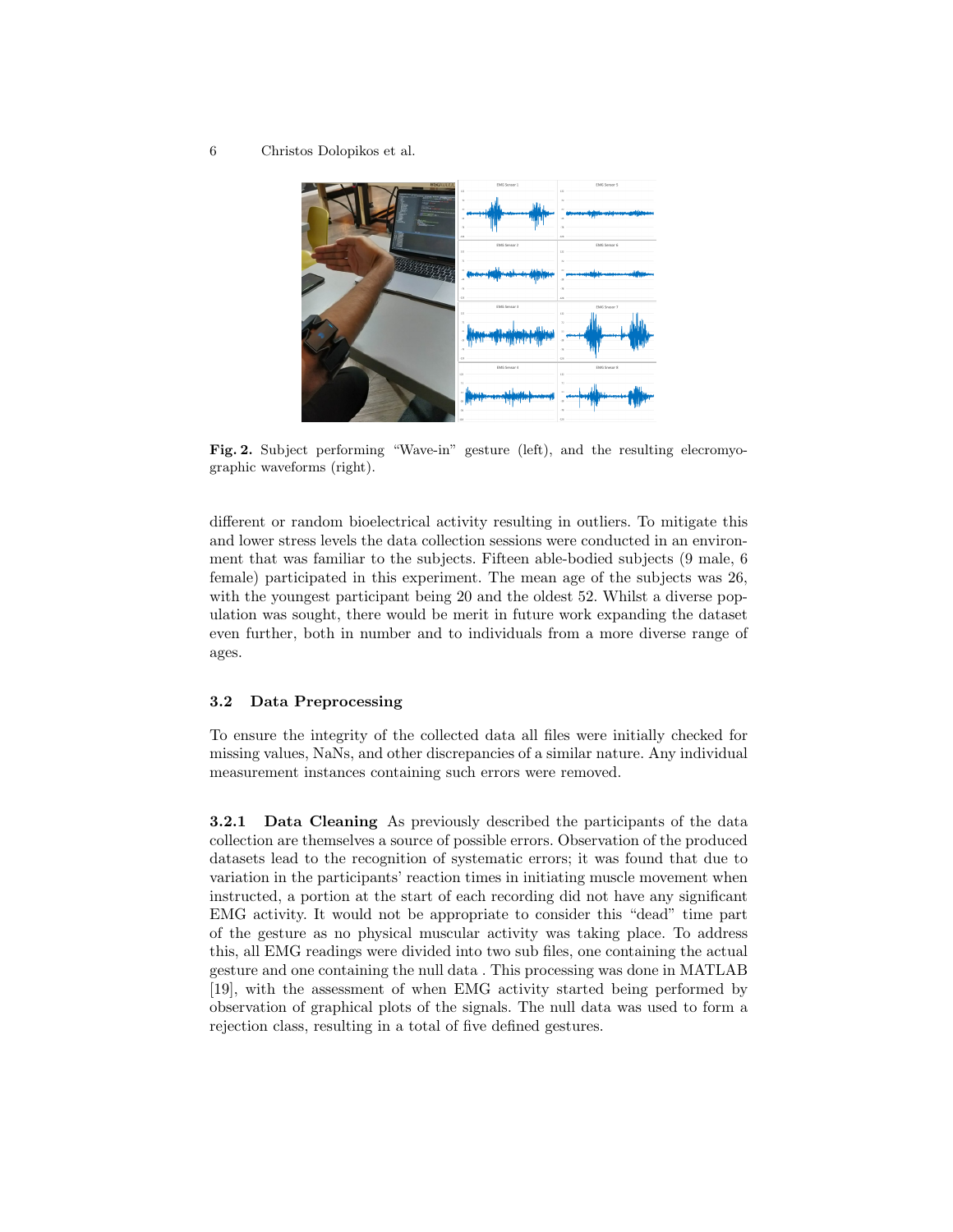6 Christos Dolopikos et al.



Fig. 2. Subject performing "Wave-in" gesture (left), and the resulting elecromyographic waveforms (right).

different or random bioelectrical activity resulting in outliers. To mitigate this and lower stress levels the data collection sessions were conducted in an environment that was familiar to the subjects. Fifteen able-bodied subjects (9 male, 6 female) participated in this experiment. The mean age of the subjects was 26, with the youngest participant being 20 and the oldest 52. Whilst a diverse population was sought, there would be merit in future work expanding the dataset even further, both in number and to individuals from a more diverse range of ages.

#### 3.2 Data Preprocessing

To ensure the integrity of the collected data all files were initially checked for missing values, NaNs, and other discrepancies of a similar nature. Any individual measurement instances containing such errors were removed.

3.2.1 Data Cleaning As previously described the participants of the data collection are themselves a source of possible errors. Observation of the produced datasets lead to the recognition of systematic errors; it was found that due to variation in the participants' reaction times in initiating muscle movement when instructed, a portion at the start of each recording did not have any significant EMG activity. It would not be appropriate to consider this "dead" time part of the gesture as no physical muscular activity was taking place. To address this, all EMG readings were divided into two sub files, one containing the actual gesture and one containing the null data . This processing was done in MATLAB [19], with the assessment of when EMG activity started being performed by observation of graphical plots of the signals. The null data was used to form a rejection class, resulting in a total of five defined gestures.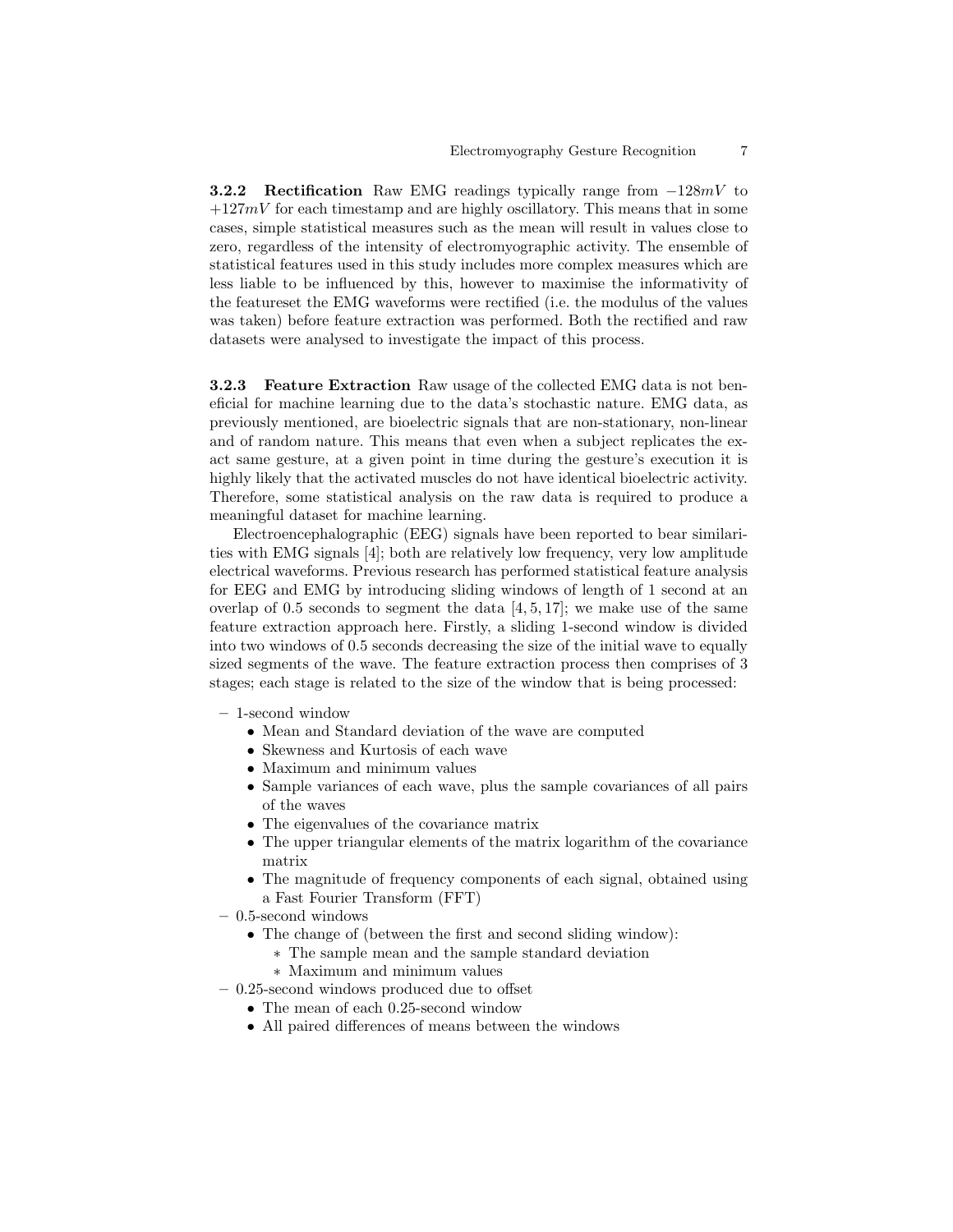**3.2.2 Rectification** Raw EMG readings typically range from  $-128mV$  to  $+127mV$  for each timestamp and are highly oscillatory. This means that in some cases, simple statistical measures such as the mean will result in values close to zero, regardless of the intensity of electromyographic activity. The ensemble of statistical features used in this study includes more complex measures which are less liable to be influenced by this, however to maximise the informativity of the featureset the EMG waveforms were rectified (i.e. the modulus of the values was taken) before feature extraction was performed. Both the rectified and raw datasets were analysed to investigate the impact of this process.

3.2.3 Feature Extraction Raw usage of the collected EMG data is not beneficial for machine learning due to the data's stochastic nature. EMG data, as previously mentioned, are bioelectric signals that are non-stationary, non-linear and of random nature. This means that even when a subject replicates the exact same gesture, at a given point in time during the gesture's execution it is highly likely that the activated muscles do not have identical bioelectric activity. Therefore, some statistical analysis on the raw data is required to produce a meaningful dataset for machine learning.

Electroencephalographic (EEG) signals have been reported to bear similarities with EMG signals [4]; both are relatively low frequency, very low amplitude electrical waveforms. Previous research has performed statistical feature analysis for EEG and EMG by introducing sliding windows of length of 1 second at an overlap of 0.5 seconds to segment the data  $[4, 5, 17]$ ; we make use of the same feature extraction approach here. Firstly, a sliding 1-second window is divided into two windows of 0.5 seconds decreasing the size of the initial wave to equally sized segments of the wave. The feature extraction process then comprises of 3 stages; each stage is related to the size of the window that is being processed:

- 1-second window
	- Mean and Standard deviation of the wave are computed
	- Skewness and Kurtosis of each wave
	- Maximum and minimum values
	- Sample variances of each wave, plus the sample covariances of all pairs of the waves
	- The eigenvalues of the covariance matrix
	- The upper triangular elements of the matrix logarithm of the covariance matrix
	- The magnitude of frequency components of each signal, obtained using a Fast Fourier Transform (FFT)
- 0.5-second windows
	- The change of (between the first and second sliding window):
		- ∗ The sample mean and the sample standard deviation
		- ∗ Maximum and minimum values
- 0.25-second windows produced due to offset
	- The mean of each 0.25-second window
	- All paired differences of means between the windows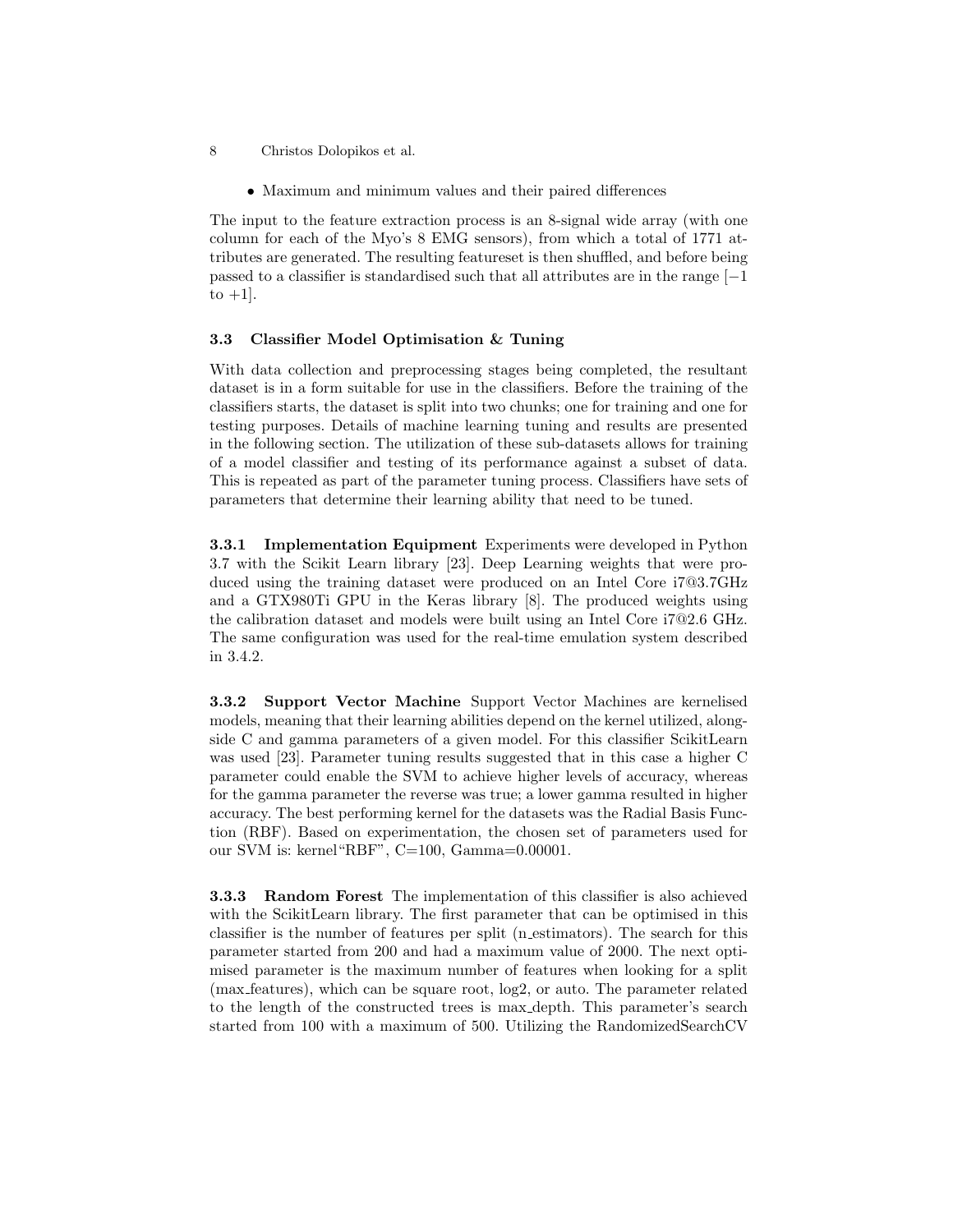• Maximum and minimum values and their paired differences

The input to the feature extraction process is an 8-signal wide array (with one column for each of the Myo's 8 EMG sensors), from which a total of 1771 attributes are generated. The resulting featureset is then shuffled, and before being passed to a classifier is standardised such that all attributes are in the range  $[-1]$ to  $+1$ .

#### 3.3 Classifier Model Optimisation & Tuning

With data collection and preprocessing stages being completed, the resultant dataset is in a form suitable for use in the classifiers. Before the training of the classifiers starts, the dataset is split into two chunks; one for training and one for testing purposes. Details of machine learning tuning and results are presented in the following section. The utilization of these sub-datasets allows for training of a model classifier and testing of its performance against a subset of data. This is repeated as part of the parameter tuning process. Classifiers have sets of parameters that determine their learning ability that need to be tuned.

3.3.1 Implementation Equipment Experiments were developed in Python 3.7 with the Scikit Learn library [23]. Deep Learning weights that were produced using the training dataset were produced on an Intel Core i7@3.7GHz and a GTX980Ti GPU in the Keras library [8]. The produced weights using the calibration dataset and models were built using an Intel Core i7@2.6 GHz. The same configuration was used for the real-time emulation system described in 3.4.2.

3.3.2 Support Vector Machine Support Vector Machines are kernelised models, meaning that their learning abilities depend on the kernel utilized, alongside C and gamma parameters of a given model. For this classifier ScikitLearn was used [23]. Parameter tuning results suggested that in this case a higher C parameter could enable the SVM to achieve higher levels of accuracy, whereas for the gamma parameter the reverse was true; a lower gamma resulted in higher accuracy. The best performing kernel for the datasets was the Radial Basis Function (RBF). Based on experimentation, the chosen set of parameters used for our SVM is: kernel"RBF", C=100, Gamma=0.00001.

3.3.3 Random Forest The implementation of this classifier is also achieved with the ScikitLearn library. The first parameter that can be optimised in this classifier is the number of features per split (n estimators). The search for this parameter started from 200 and had a maximum value of 2000. The next optimised parameter is the maximum number of features when looking for a split (max features), which can be square root, log2, or auto. The parameter related to the length of the constructed trees is max depth. This parameter's search started from 100 with a maximum of 500. Utilizing the RandomizedSearchCV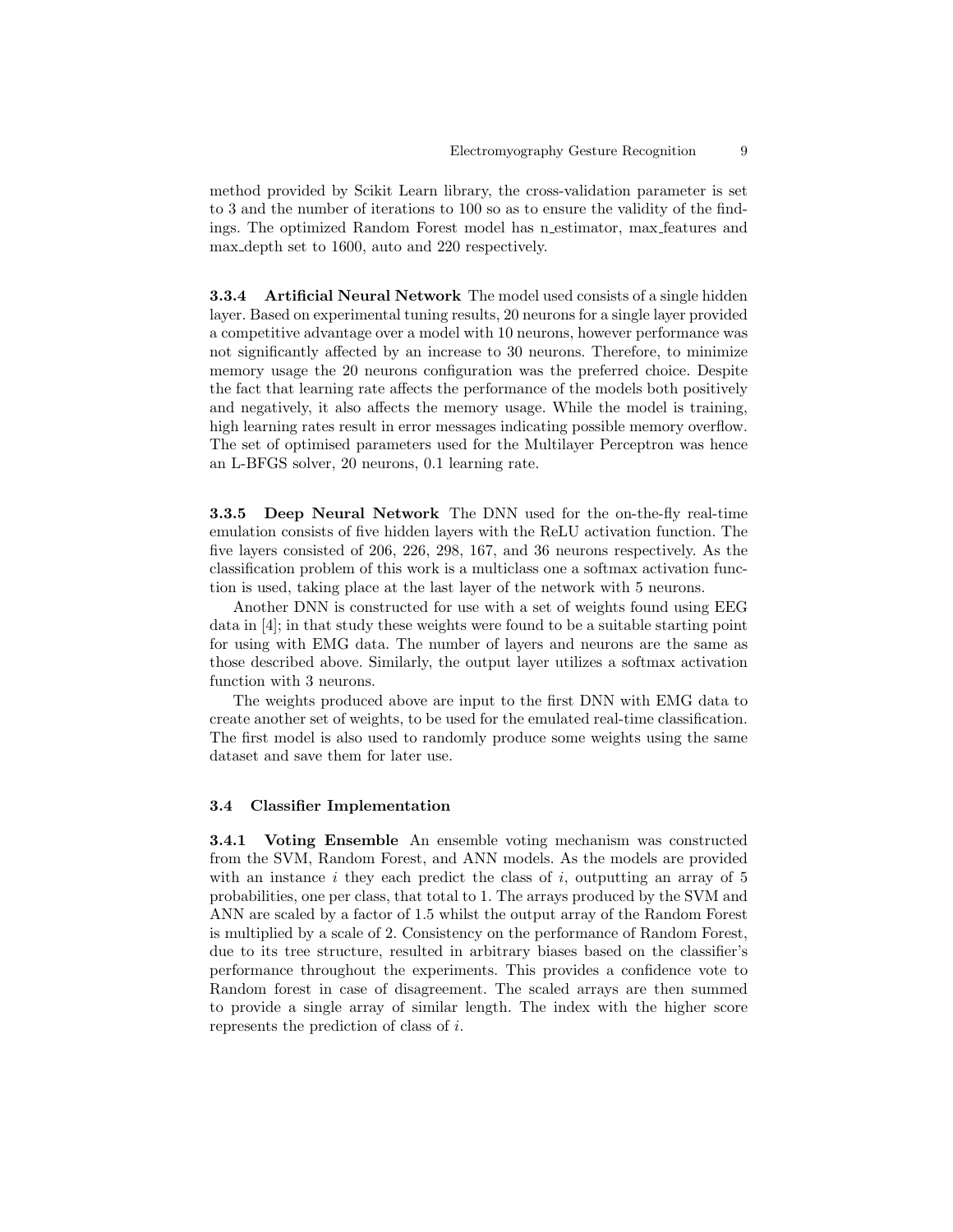method provided by Scikit Learn library, the cross-validation parameter is set to 3 and the number of iterations to 100 so as to ensure the validity of the findings. The optimized Random Forest model has n estimator, max features and max depth set to 1600, auto and 220 respectively.

3.3.4 Artificial Neural Network The model used consists of a single hidden layer. Based on experimental tuning results, 20 neurons for a single layer provided a competitive advantage over a model with 10 neurons, however performance was not significantly affected by an increase to 30 neurons. Therefore, to minimize memory usage the 20 neurons configuration was the preferred choice. Despite the fact that learning rate affects the performance of the models both positively and negatively, it also affects the memory usage. While the model is training, high learning rates result in error messages indicating possible memory overflow. The set of optimised parameters used for the Multilayer Perceptron was hence an L-BFGS solver, 20 neurons, 0.1 learning rate.

3.3.5 Deep Neural Network The DNN used for the on-the-fly real-time emulation consists of five hidden layers with the ReLU activation function. The five layers consisted of 206, 226, 298, 167, and 36 neurons respectively. As the classification problem of this work is a multiclass one a softmax activation function is used, taking place at the last layer of the network with 5 neurons.

Another DNN is constructed for use with a set of weights found using EEG data in [4]; in that study these weights were found to be a suitable starting point for using with EMG data. The number of layers and neurons are the same as those described above. Similarly, the output layer utilizes a softmax activation function with 3 neurons.

The weights produced above are input to the first DNN with EMG data to create another set of weights, to be used for the emulated real-time classification. The first model is also used to randomly produce some weights using the same dataset and save them for later use.

#### 3.4 Classifier Implementation

3.4.1 Voting Ensemble An ensemble voting mechanism was constructed from the SVM, Random Forest, and ANN models. As the models are provided with an instance i they each predict the class of i, outputting an array of  $5$ probabilities, one per class, that total to 1. The arrays produced by the SVM and ANN are scaled by a factor of 1.5 whilst the output array of the Random Forest is multiplied by a scale of 2. Consistency on the performance of Random Forest, due to its tree structure, resulted in arbitrary biases based on the classifier's performance throughout the experiments. This provides a confidence vote to Random forest in case of disagreement. The scaled arrays are then summed to provide a single array of similar length. The index with the higher score represents the prediction of class of i.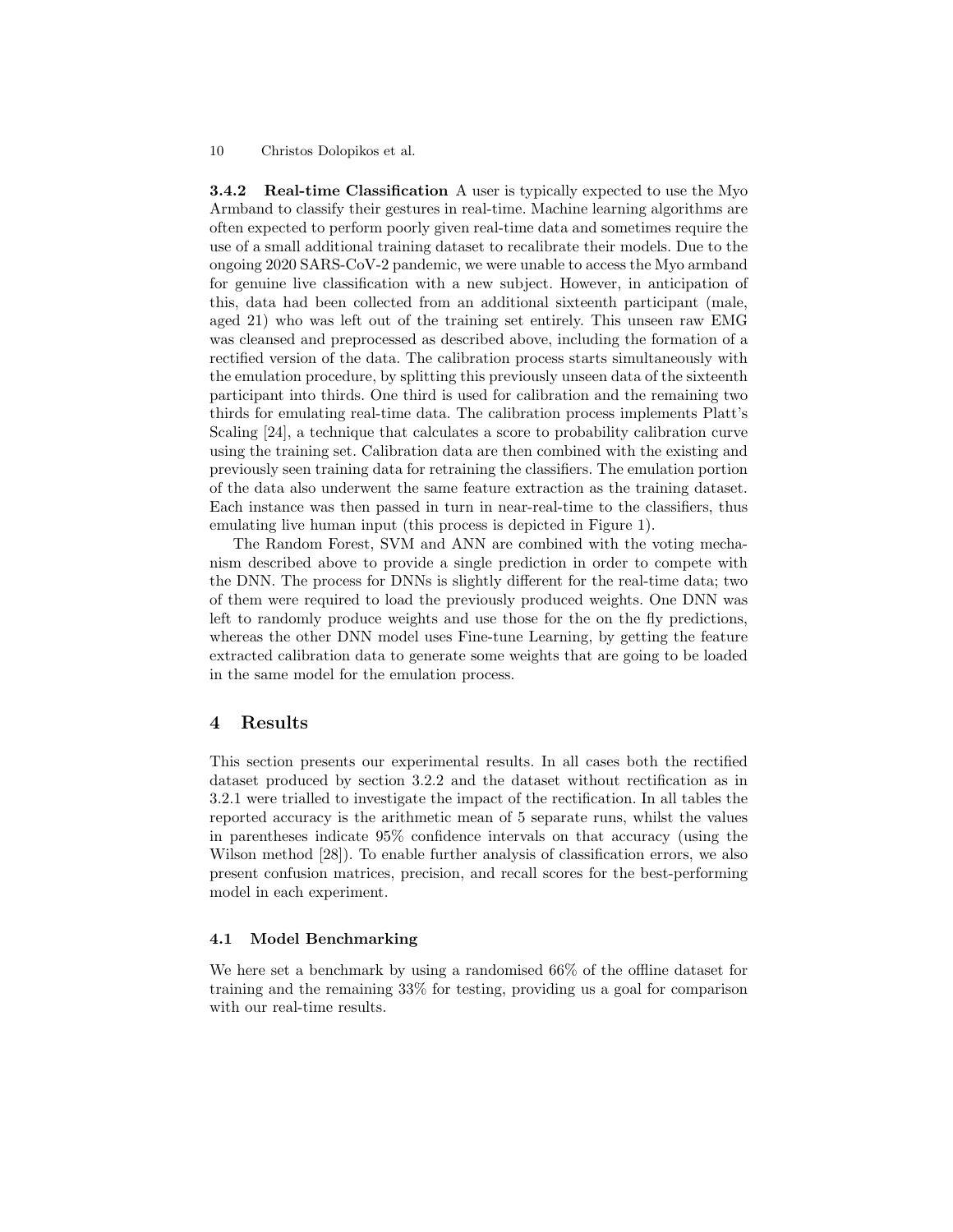**3.4.2** Real-time Classification A user is typically expected to use the Myo Armband to classify their gestures in real-time. Machine learning algorithms are often expected to perform poorly given real-time data and sometimes require the use of a small additional training dataset to recalibrate their models. Due to the ongoing 2020 SARS-CoV-2 pandemic, we were unable to access the Myo armband for genuine live classification with a new subject. However, in anticipation of this, data had been collected from an additional sixteenth participant (male, aged 21) who was left out of the training set entirely. This unseen raw EMG was cleansed and preprocessed as described above, including the formation of a rectified version of the data. The calibration process starts simultaneously with the emulation procedure, by splitting this previously unseen data of the sixteenth participant into thirds. One third is used for calibration and the remaining two thirds for emulating real-time data. The calibration process implements Platt's Scaling [24], a technique that calculates a score to probability calibration curve using the training set. Calibration data are then combined with the existing and previously seen training data for retraining the classifiers. The emulation portion of the data also underwent the same feature extraction as the training dataset. Each instance was then passed in turn in near-real-time to the classifiers, thus emulating live human input (this process is depicted in Figure 1).

The Random Forest, SVM and ANN are combined with the voting mechanism described above to provide a single prediction in order to compete with the DNN. The process for DNNs is slightly different for the real-time data; two of them were required to load the previously produced weights. One DNN was left to randomly produce weights and use those for the on the fly predictions, whereas the other DNN model uses Fine-tune Learning, by getting the feature extracted calibration data to generate some weights that are going to be loaded in the same model for the emulation process.

# 4 Results

This section presents our experimental results. In all cases both the rectified dataset produced by section 3.2.2 and the dataset without rectification as in 3.2.1 were trialled to investigate the impact of the rectification. In all tables the reported accuracy is the arithmetic mean of 5 separate runs, whilst the values in parentheses indicate 95% confidence intervals on that accuracy (using the Wilson method [28]). To enable further analysis of classification errors, we also present confusion matrices, precision, and recall scores for the best-performing model in each experiment.

#### 4.1 Model Benchmarking

We here set a benchmark by using a randomised 66% of the offline dataset for training and the remaining 33% for testing, providing us a goal for comparison with our real-time results.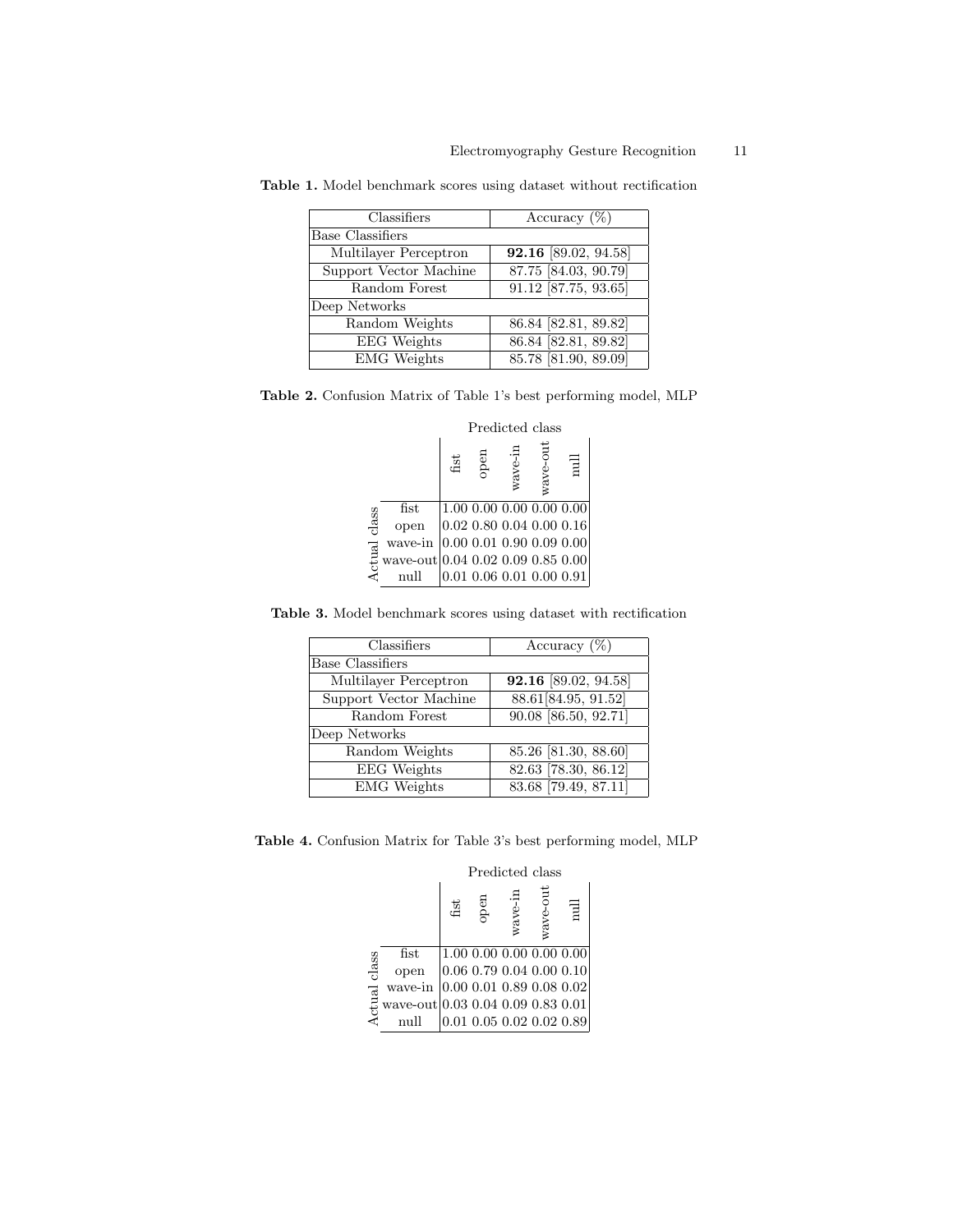| Classifiers             | Accuracy $(\%)$        |
|-------------------------|------------------------|
| <b>Base Classifiers</b> |                        |
| Multilayer Perceptron   | 92.16 [89.02, 94.58]   |
| Support Vector Machine  | 87.75 [84.03, 90.79]   |
| Random Forest           | $91.12$ [87.75, 93.65] |
| Deep Networks           |                        |
| Random Weights          | 86.84 [82.81, 89.82]   |
| <b>EEG</b> Weights      | 86.84 [82.81, 89.82]   |
| <b>EMG</b> Weights      | 85.78 [81.90, 89.09]   |

Table 1. Model benchmark scores using dataset without rectification

| Table 2. Confusion Matrix of Table 1's best performing model, MLP |  |  |  |  |  |  |
|-------------------------------------------------------------------|--|--|--|--|--|--|
|-------------------------------------------------------------------|--|--|--|--|--|--|

|        |                                   | Predicted class |      |         |                                |      |  |
|--------|-----------------------------------|-----------------|------|---------|--------------------------------|------|--|
|        |                                   | $_{\rm{fit}}$   | open | wave-in | wave-out                       | llun |  |
|        | $_{\rm{fist}}$                    |                 |      |         | 1.00 0.00 0.00 0.00 0.00       |      |  |
| class  | open                              |                 |      |         | $0.02\ 0.80\ 0.04\ 0.00\ 0.16$ |      |  |
|        | wave-in                           |                 |      |         | [0.00 0.01 0.90 0.09 0.00]     |      |  |
| Actual | wave-out 0.04 0.02 0.09 0.85 0.00 |                 |      |         |                                |      |  |
|        | null                              |                 |      |         | $0.01\ 0.06\ 0.01\ 0.00\ 0.91$ |      |  |

Table 3. Model benchmark scores using dataset with rectification

| Classifiers             | Accuracy $(\%)$      |
|-------------------------|----------------------|
| <b>Base Classifiers</b> |                      |
| Multilayer Perceptron   | 92.16 [89.02, 94.58] |
| Support Vector Machine  | 88.61 [84.95, 91.52] |
| Random Forest           | 90.08 [86.50, 92.71] |
| Deep Networks           |                      |
| Random Weights          | 85.26 [81.30, 88.60] |
| <b>EEG</b> Weights      | 82.63 [78.30, 86.12] |
| <b>EMG</b> Weights      | 83.68 [79.49, 87.11] |

Table 4. Confusion Matrix for Table 3's best performing model, MLP

|        |                                   | Predicted class |      |         |                                |                                    |  |
|--------|-----------------------------------|-----------------|------|---------|--------------------------------|------------------------------------|--|
|        |                                   | fist            | open | wave-in | wave-out                       | $_{\text{null}}$                   |  |
|        | $_{\rm{fist}}$                    |                 |      |         |                                | 1.00 0.00 0.00 0.00 0.00           |  |
| class  | open                              |                 |      |         | $0.06\ 0.79\ 0.04\ 0.00\ 0.10$ |                                    |  |
|        | wave-in                           |                 |      |         | 0.00 0.01 0.89 0.08 0.02       |                                    |  |
| Actual | wave-out 0.03 0.04 0.09 0.83 0.01 |                 |      |         |                                |                                    |  |
|        | mıll                              |                 |      |         |                                | $0.01$ $0.05$ $0.02$ $0.02$ $0.89$ |  |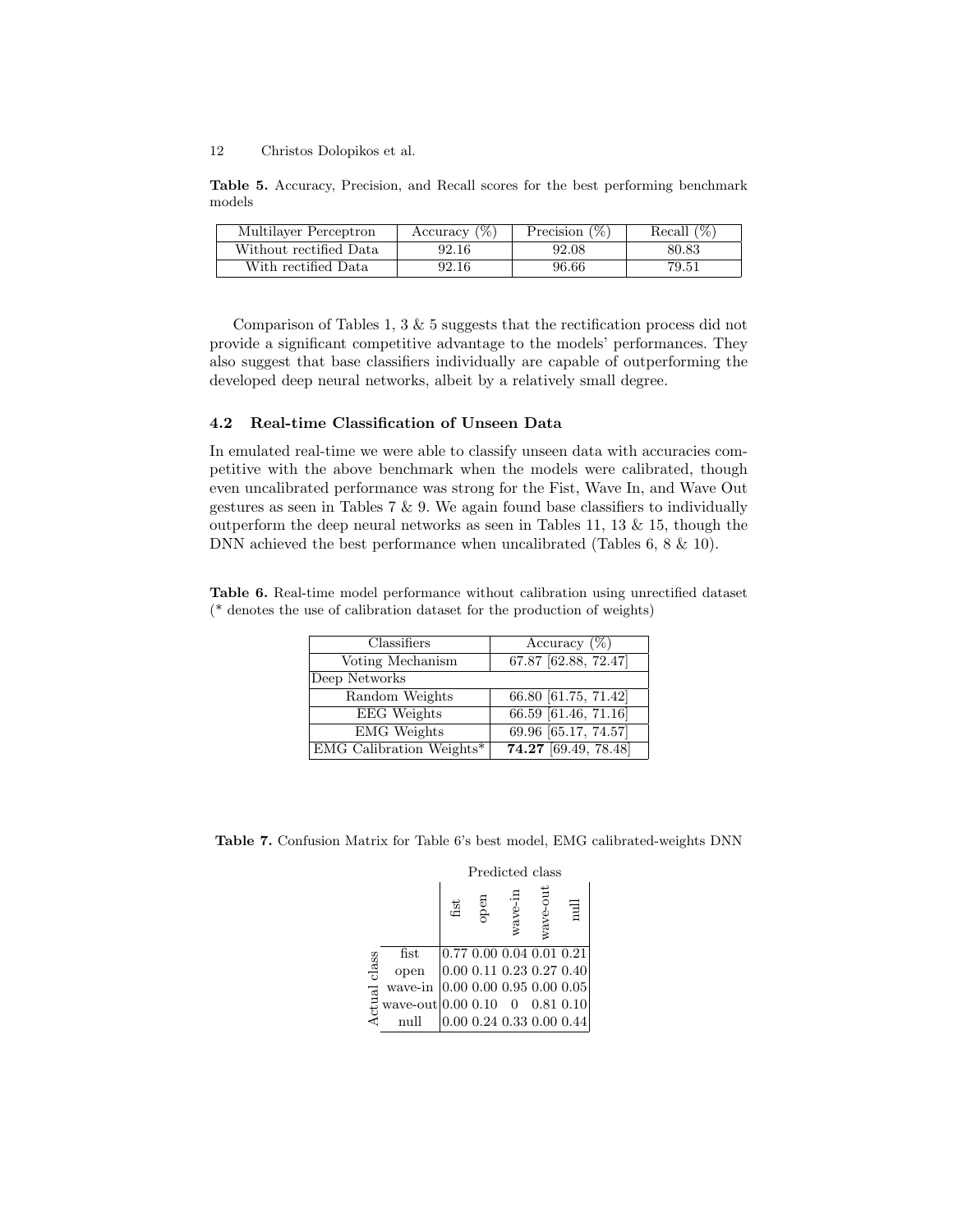Table 5. Accuracy, Precision, and Recall scores for the best performing benchmark models

| Multilayer Perceptron  | Accuracy $(\%)$ | Precision $(\%)$ | Recall $(\%)$ |
|------------------------|-----------------|------------------|---------------|
| Without rectified Data | 92.16           | 92.08            | 80.83         |
| With rectified Data    | 92.16           | 96.66            | 79.51         |

Comparison of Tables 1, 3 & 5 suggests that the rectification process did not provide a significant competitive advantage to the models' performances. They also suggest that base classifiers individually are capable of outperforming the developed deep neural networks, albeit by a relatively small degree.

#### 4.2 Real-time Classification of Unseen Data

In emulated real-time we were able to classify unseen data with accuracies competitive with the above benchmark when the models were calibrated, though even uncalibrated performance was strong for the Fist, Wave In, and Wave Out gestures as seen in Tables 7 & 9. We again found base classifiers to individually outperform the deep neural networks as seen in Tables 11, 13  $\&$  15, though the DNN achieved the best performance when uncalibrated (Tables 6, 8 & 10).

Table 6. Real-time model performance without calibration using unrectified dataset (\* denotes the use of calibration dataset for the production of weights)

| Classifiers              | Accuracy $(\%)$        |
|--------------------------|------------------------|
| Voting Mechanism         | 67.87 [62.88, 72.47]   |
| Deep Networks            |                        |
| Random Weights           | 66.80 [61.75, 71.42]   |
| <b>EEG</b> Weights       | 66.59 [61.46, 71.16]   |
| <b>EMG</b> Weights       | 69.96 [65.17, 74.57]   |
| EMG Calibration Weights* | $74.27$ [69.49, 78.48] |

Table 7. Confusion Matrix for Table 6's best model, EMG calibrated-weights DNN

|        |                                          | Predicted class |      |         |                                  |                  |  |
|--------|------------------------------------------|-----------------|------|---------|----------------------------------|------------------|--|
|        |                                          | fist            | open | wave-in | wave-out                         | $_{\text{null}}$ |  |
|        | $_{\rm{fist}}$                           |                 |      |         | $ 0.77\;0.00\;0.04\;0.01\;0.21 $ |                  |  |
| class  | open                                     |                 |      |         | $0.00\ 0.11\ 0.23\ 0.27\ 0.40$   |                  |  |
|        | wave-in $(0.00\ 0.00\ 0.95\ 0.00\ 0.05)$ |                 |      |         |                                  |                  |  |
| Actual | wave-out $ 0.00\;0.10\;$ 0 0.81 0.10     |                 |      |         |                                  |                  |  |
|        | null                                     |                 |      |         | $0.00\ 0.24\ 0.33\ 0.00\ 0.44$   |                  |  |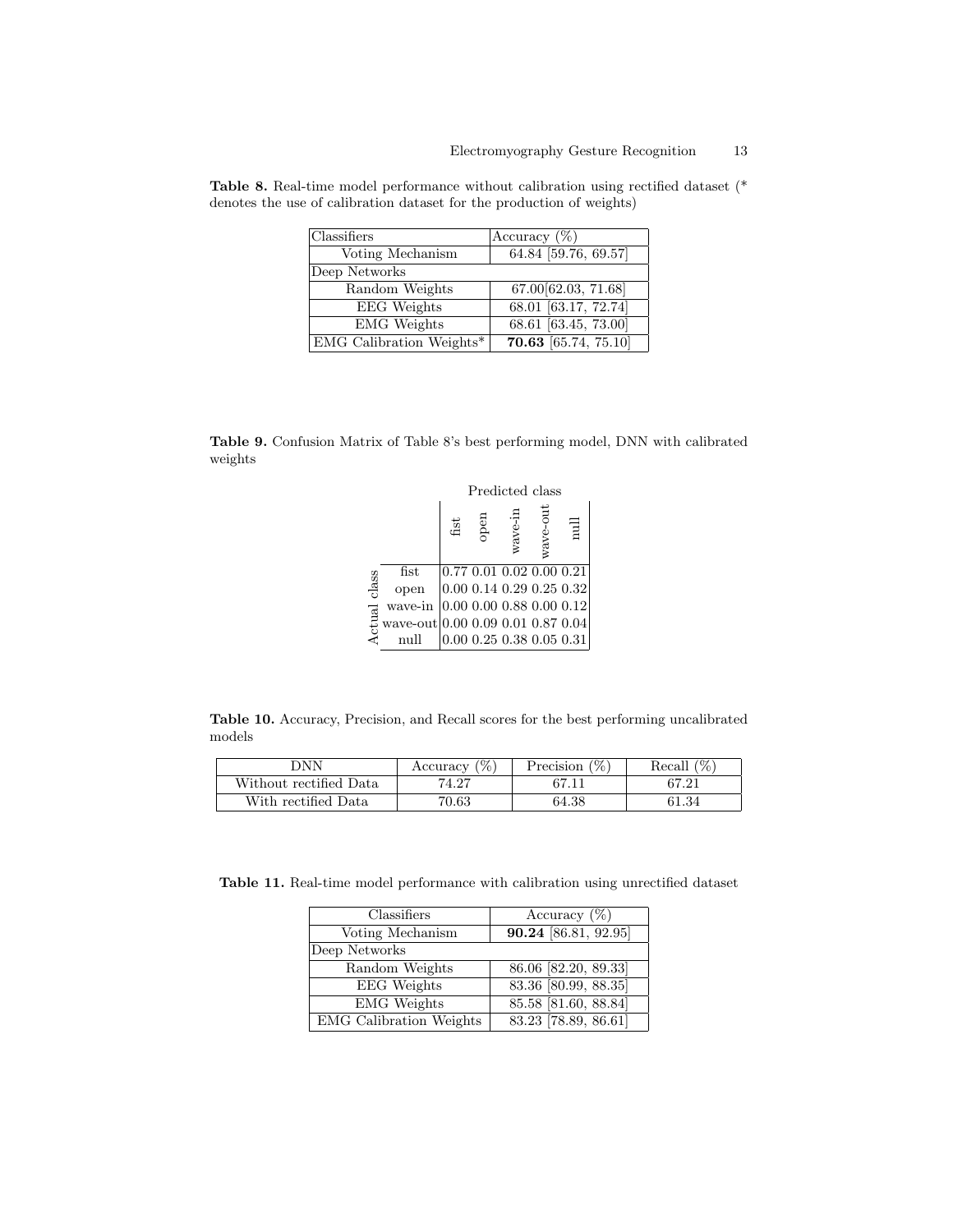| Classifiers              | Accuracy $(\%)$          |
|--------------------------|--------------------------|
| Voting Mechanism         | 64.84 [59.76, 69.57]     |
| Deep Networks            |                          |
| Random Weights           | 67.00 62.03, 71.68       |
| <b>EEG</b> Weights       | 68.01 [63.17, 72.74]     |
| <b>EMG</b> Weights       | $68.61$ $[63.45, 73.00]$ |
| EMG Calibration Weights* | $70.63$ [65.74, 75.10]   |

Table 8. Real-time model performance without calibration using rectified dataset (\* denotes the use of calibration dataset for the production of weights)

Table 9. Confusion Matrix of Table 8's best performing model, DNN with calibrated weights

|        |                                   | Predicted class |      |         |          |                                             |  |
|--------|-----------------------------------|-----------------|------|---------|----------|---------------------------------------------|--|
|        |                                   | $_{\rm{flat}}$  | open | wave-in | wave-out | mull                                        |  |
|        | fist                              |                 |      |         |          | $\left 0.77\ 0.01\ 0.02\ 0.00\ 0.21\right $ |  |
| class  | open                              |                 |      |         |          | 0.00 0.14 0.29 0.25 0.32                    |  |
|        | wave-in                           |                 |      |         |          | $ 0.00\;0.00\;0.88\;0.00\;0.12 $            |  |
| Actual | wave-out 0.00 0.09 0.01 0.87 0.04 |                 |      |         |          |                                             |  |
|        |                                   |                 |      |         |          | $0.00$ $0.25$ $0.38$ $0.05$ $0.31\vert$     |  |

Table 10. Accuracy, Precision, and Recall scores for the best performing uncalibrated models

| NN ר                   | Accuracy $(\%)$ | Precision $(\%)$ | (%<br>Recall |
|------------------------|-----------------|------------------|--------------|
| Without rectified Data | 74.27           |                  | 67.21        |
| With rectified Data    | 70.63           | 64.38            | 61.34        |

Table 11. Real-time model performance with calibration using unrectified dataset

| Classifiers                    | Accuracy $(\%)$        |
|--------------------------------|------------------------|
| Voting Mechanism               | 90.24 [86.81, 92.95]   |
| Deep Networks                  |                        |
| Random Weights                 | 86.06 [82.20, 89.33]   |
| <b>EEG</b> Weights             | 83.36 [80.99, 88.35]   |
| EMG Weights                    | $85.58$ [81.60, 88.84] |
| <b>EMG</b> Calibration Weights | $83.23$ [78.89, 86.61] |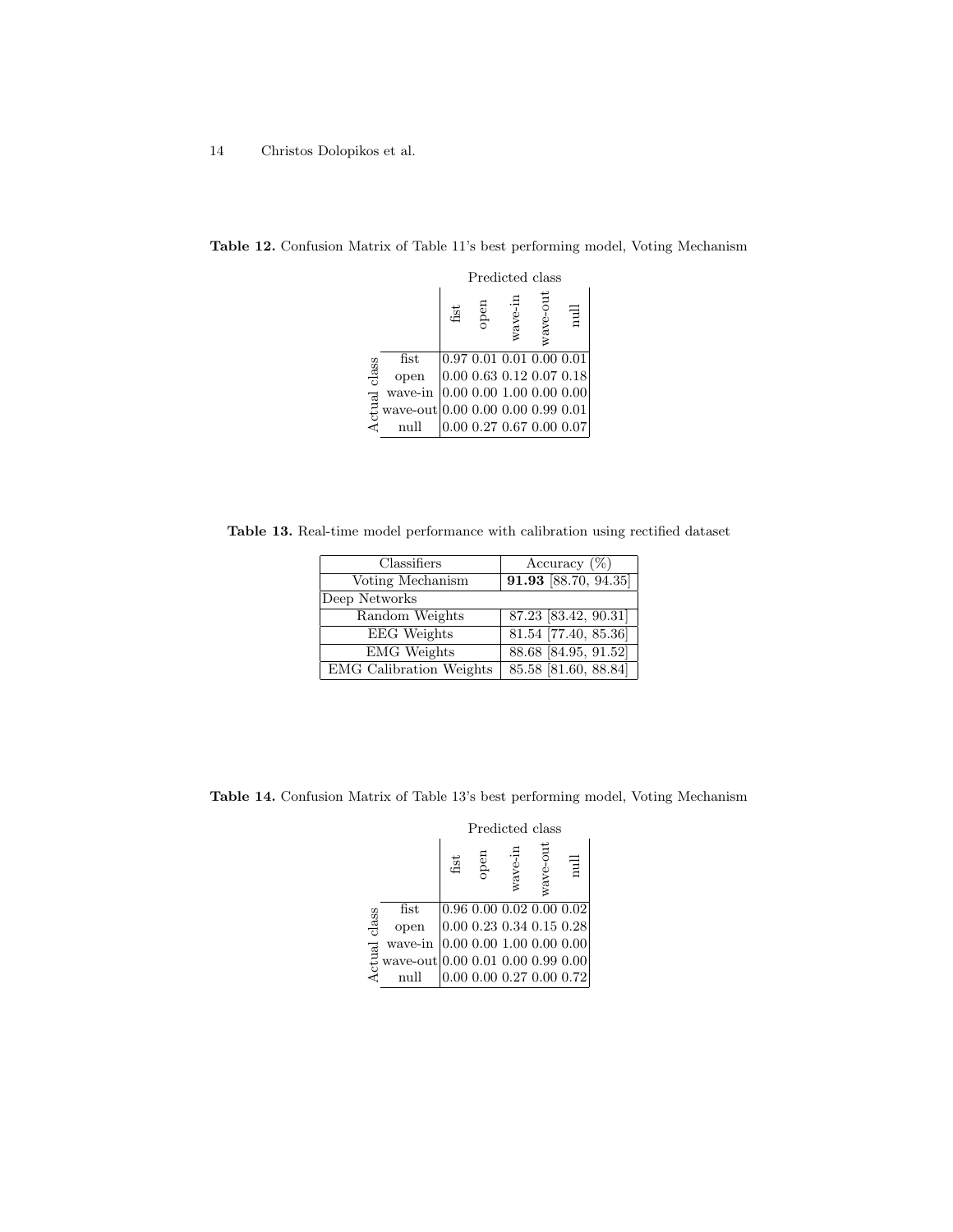|        |                                   | Predicted class |      |         |                                    |                          |
|--------|-----------------------------------|-----------------|------|---------|------------------------------------|--------------------------|
|        |                                   | fist            | open | wave-in | wave-out                           | $\overline{\phantom{a}}$ |
|        | $_{\rm{fist}}$                    |                 |      |         | $0.97$ $0.01$ $0.01$ $0.00$ $0.01$ |                          |
| class  | open                              |                 |      |         | $0.00$ $0.63$ $0.12$ $0.07$ $0.18$ |                          |
|        | wave-in                           |                 |      |         | $0.00\ 0.00\ 1.00\ 0.00\ 0.00$     |                          |
| Actual | wave-out 0.00 0.00 0.00 0.99 0.01 |                 |      |         |                                    |                          |
|        |                                   |                 |      |         | 0.00 0.27 0.67 0.00 0.07           |                          |

Table 12. Confusion Matrix of Table 11's best performing model, Voting Mechanism

Table 13. Real-time model performance with calibration using rectified dataset

| Classifiers                    | Accuracy $(\%)$                   |
|--------------------------------|-----------------------------------|
| Voting Mechanism               | 91.93 [88.70, 94.35]              |
| Deep Networks                  |                                   |
| Random Weights                 | $\overline{87.23}$ [83.42, 90.31] |
| <b>EEG</b> Weights             | $81.54$ [77.40, 85.36]            |
| <b>EMG</b> Weights             | 88.68 [84.95, 91.52]              |
| <b>EMG</b> Calibration Weights | $85.58$ [81.60, 88.84]            |

Table 14. Confusion Matrix of Table 13's best performing model, Voting Mechanism

|                        |                                   | Predicted class |      |         |                                    |                                |
|------------------------|-----------------------------------|-----------------|------|---------|------------------------------------|--------------------------------|
|                        |                                   | fist            | open | wave-ir | wave-out                           | $_{\text{null}}$               |
|                        | $_{\rm{fst}}$                     |                 |      |         | $0.96$ $0.00$ $0.02$ $0.00$ $0.02$ |                                |
| class<br><b>Actual</b> | open                              |                 |      |         |                                    | $0.00\ 0.23\ 0.34\ 0.15\ 0.28$ |
|                        | wave-in                           |                 |      |         | $0.00\ 0.00\ 1.00\ 0.00\ 0.00$     |                                |
|                        | wave-out 0.00 0.01 0.00 0.99 0.00 |                 |      |         |                                    |                                |
|                        |                                   |                 |      |         |                                    | 0.00 0.00 0.27 0.00 0.72       |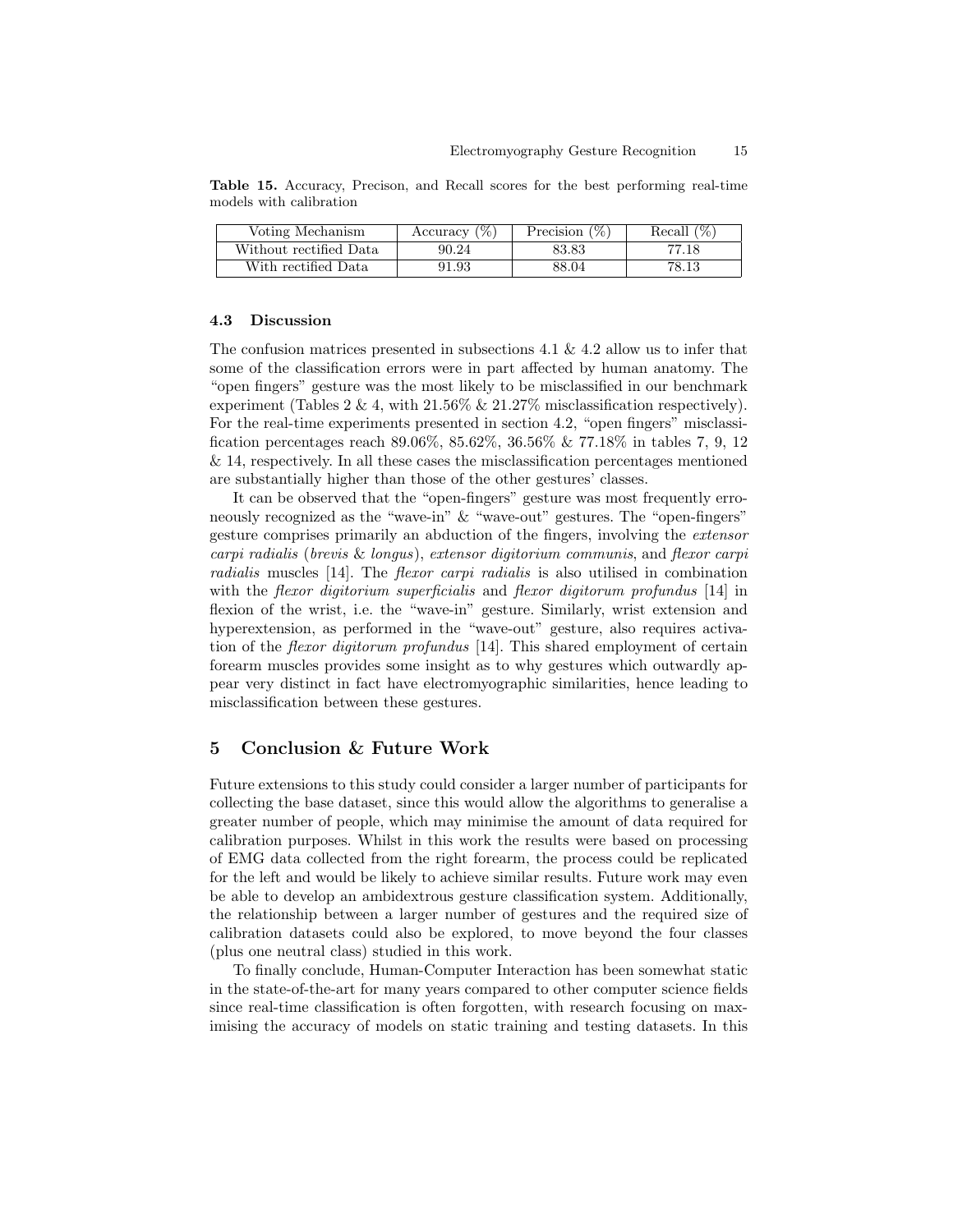| Voting Mechanism       | Accuracy $(\%)$ | Precision $(\%)$ | Recall $(\%)$ |
|------------------------|-----------------|------------------|---------------|
| Without rectified Data | 90.24           | 83.83            | 77.18         |
| With rectified Data    | 91.93           | 88.04            | 78.13         |

Table 15. Accuracy, Precison, and Recall scores for the best performing real-time models with calibration

#### 4.3 Discussion

The confusion matrices presented in subsections 4.1 & 4.2 allow us to infer that some of the classification errors were in part affected by human anatomy. The "open fingers" gesture was the most likely to be misclassified in our benchmark experiment (Tables  $2 \& 4$ , with  $21.56\% \& 21.27\%$  misclassification respectively). For the real-time experiments presented in section 4.2, "open fingers" misclassification percentages reach 89.06%, 85.62%, 36.56% & 77.18% in tables 7, 9, 12 & 14, respectively. In all these cases the misclassification percentages mentioned are substantially higher than those of the other gestures' classes.

It can be observed that the "open-fingers" gesture was most frequently erroneously recognized as the "wave-in" & "wave-out" gestures. The "open-fingers" gesture comprises primarily an abduction of the fingers, involving the extensor carpi radialis (brevis & longus), extensor digitorium communis, and flexor carpi radialis muscles [14]. The flexor carpi radialis is also utilised in combination with the *flexor digitorium superficialis* and *flexor digitorum profundus* [14] in flexion of the wrist, i.e. the "wave-in" gesture. Similarly, wrist extension and hyperextension, as performed in the "wave-out" gesture, also requires activation of the flexor digitorum profundus [14]. This shared employment of certain forearm muscles provides some insight as to why gestures which outwardly appear very distinct in fact have electromyographic similarities, hence leading to misclassification between these gestures.

# 5 Conclusion & Future Work

Future extensions to this study could consider a larger number of participants for collecting the base dataset, since this would allow the algorithms to generalise a greater number of people, which may minimise the amount of data required for calibration purposes. Whilst in this work the results were based on processing of EMG data collected from the right forearm, the process could be replicated for the left and would be likely to achieve similar results. Future work may even be able to develop an ambidextrous gesture classification system. Additionally, the relationship between a larger number of gestures and the required size of calibration datasets could also be explored, to move beyond the four classes (plus one neutral class) studied in this work.

To finally conclude, Human-Computer Interaction has been somewhat static in the state-of-the-art for many years compared to other computer science fields since real-time classification is often forgotten, with research focusing on maximising the accuracy of models on static training and testing datasets. In this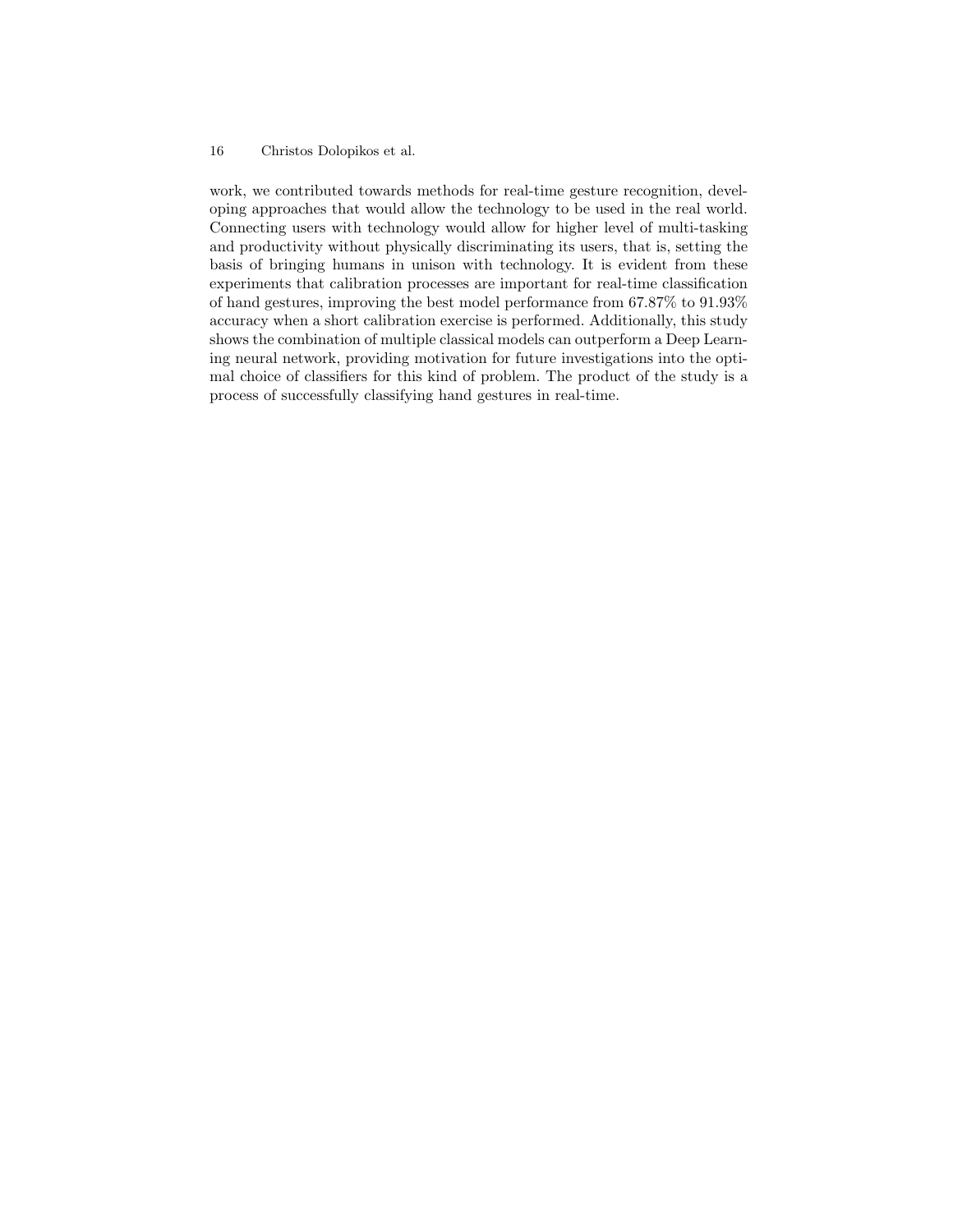work, we contributed towards methods for real-time gesture recognition, developing approaches that would allow the technology to be used in the real world. Connecting users with technology would allow for higher level of multi-tasking and productivity without physically discriminating its users, that is, setting the basis of bringing humans in unison with technology. It is evident from these experiments that calibration processes are important for real-time classification of hand gestures, improving the best model performance from 67.87% to 91.93% accuracy when a short calibration exercise is performed. Additionally, this study shows the combination of multiple classical models can outperform a Deep Learning neural network, providing motivation for future investigations into the optimal choice of classifiers for this kind of problem. The product of the study is a process of successfully classifying hand gestures in real-time.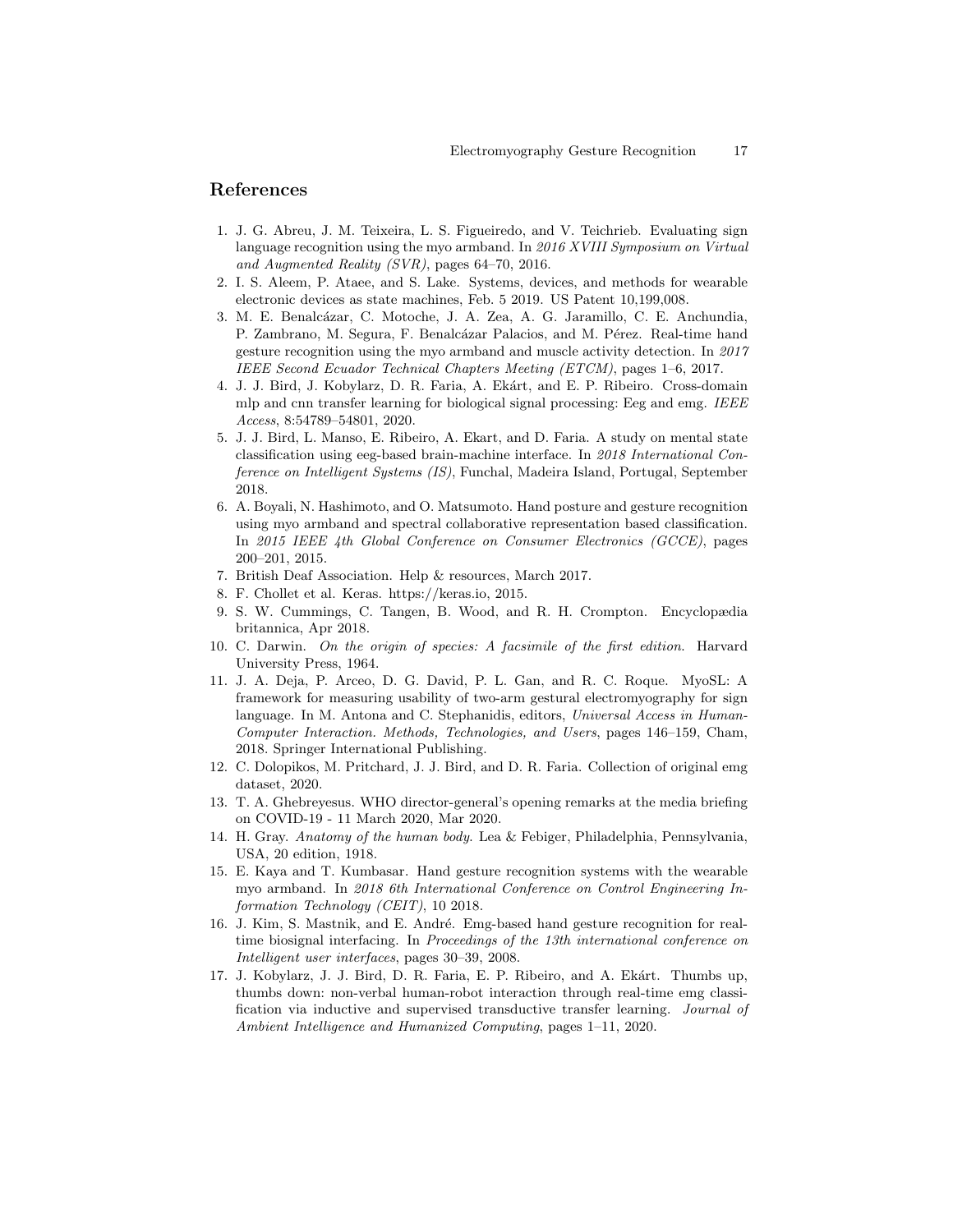# References

- 1. J. G. Abreu, J. M. Teixeira, L. S. Figueiredo, and V. Teichrieb. Evaluating sign language recognition using the myo armband. In 2016 XVIII Symposium on Virtual and Augmented Reality (SVR), pages 64–70, 2016.
- 2. I. S. Aleem, P. Ataee, and S. Lake. Systems, devices, and methods for wearable electronic devices as state machines, Feb. 5 2019. US Patent 10,199,008.
- 3. M. E. Benalcázar, C. Motoche, J. A. Zea, A. G. Jaramillo, C. E. Anchundia. P. Zambrano, M. Segura, F. Benalcázar Palacios, and M. Pérez. Real-time hand gesture recognition using the myo armband and muscle activity detection. In 2017 IEEE Second Ecuador Technical Chapters Meeting (ETCM), pages 1–6, 2017.
- 4. J. J. Bird, J. Kobylarz, D. R. Faria, A. Ekárt, and E. P. Ribeiro. Cross-domain mlp and cnn transfer learning for biological signal processing: Eeg and emg. IEEE Access, 8:54789–54801, 2020.
- 5. J. J. Bird, L. Manso, E. Ribeiro, A. Ekart, and D. Faria. A study on mental state classification using eeg-based brain-machine interface. In 2018 International Conference on Intelligent Systems (IS), Funchal, Madeira Island, Portugal, September 2018.
- 6. A. Boyali, N. Hashimoto, and O. Matsumoto. Hand posture and gesture recognition using myo armband and spectral collaborative representation based classification. In 2015 IEEE 4th Global Conference on Consumer Electronics (GCCE), pages 200–201, 2015.
- 7. British Deaf Association. Help & resources, March 2017.
- 8. F. Chollet et al. Keras. https://keras.io, 2015.
- 9. S. W. Cummings, C. Tangen, B. Wood, and R. H. Crompton. Encyclopædia britannica, Apr 2018.
- 10. C. Darwin. On the origin of species: A facsimile of the first edition. Harvard University Press, 1964.
- 11. J. A. Deja, P. Arceo, D. G. David, P. L. Gan, and R. C. Roque. MyoSL: A framework for measuring usability of two-arm gestural electromyography for sign language. In M. Antona and C. Stephanidis, editors, Universal Access in Human-Computer Interaction. Methods, Technologies, and Users, pages 146–159, Cham, 2018. Springer International Publishing.
- 12. C. Dolopikos, M. Pritchard, J. J. Bird, and D. R. Faria. Collection of original emg dataset, 2020.
- 13. T. A. Ghebreyesus. WHO director-general's opening remarks at the media briefing on COVID-19 - 11 March 2020, Mar 2020.
- 14. H. Gray. Anatomy of the human body. Lea & Febiger, Philadelphia, Pennsylvania, USA, 20 edition, 1918.
- 15. E. Kaya and T. Kumbasar. Hand gesture recognition systems with the wearable myo armband. In 2018 6th International Conference on Control Engineering Information Technology (CEIT), 10 2018.
- 16. J. Kim, S. Mastnik, and E. André. Emg-based hand gesture recognition for realtime biosignal interfacing. In Proceedings of the 13th international conference on Intelligent user interfaces, pages 30–39, 2008.
- 17. J. Kobylarz, J. J. Bird, D. R. Faria, E. P. Ribeiro, and A. Ekárt. Thumbs up, thumbs down: non-verbal human-robot interaction through real-time emg classification via inductive and supervised transductive transfer learning. Journal of Ambient Intelligence and Humanized Computing, pages 1–11, 2020.